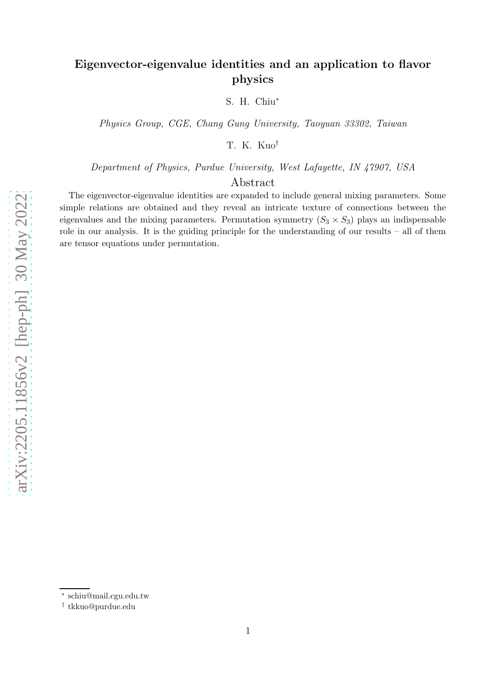# Eigenvector-eigenvalue identities and an application to flavor physics

S. H. Chiu<sup>∗</sup>

Physics Group, CGE, Chang Gung University, Taoyuan 33302, Taiwan

T. K. Kuo†

Department of Physics, Purdue University, West Lafayette, IN 47907, USA

## Abstract

The eigenvector-eigenvalue identities are expanded to include general mixing parameters. Some simple relations are obtained and they reveal an intricate texture of connections between the eigenvalues and the mixing parameters. Permutation symmetry  $(S_3 \times S_3)$  plays an indispensable role in our analysis. It is the guiding principle for the understanding of our results – all of them are tensor equations under permutation.

<sup>∗</sup> schiu@mail.cgu.edu.tw

<sup>†</sup> tkkuo@purdue.edu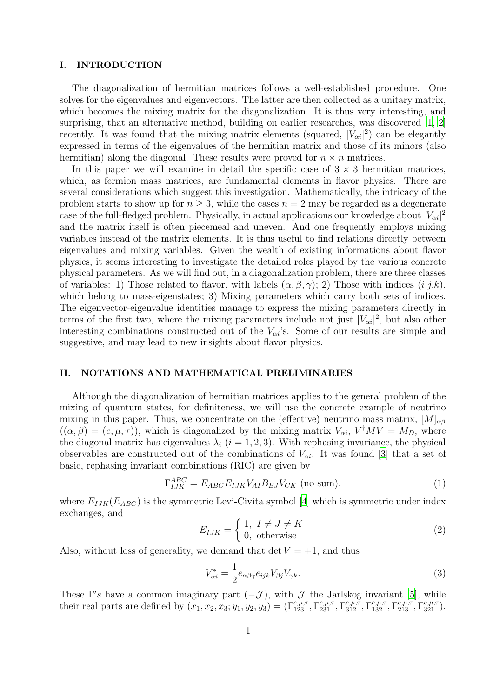#### I. INTRODUCTION

The diagonalization of hermitian matrices follows a well-established procedure. One solves for the eigenvalues and eigenvectors. The latter are then collected as a unitary matrix, which becomes the mixing matrix for the diagonalization. It is thus very interesting, and surprising, that an alternative method, building on earlier researches, was discovered [\[1,](#page-11-0) [2\]](#page-11-1) recently. It was found that the mixing matrix elements (squared,  $|V_{\alpha i}|^2$ ) can be elegantly expressed in terms of the eigenvalues of the hermitian matrix and those of its minors (also hermitian) along the diagonal. These results were proved for  $n \times n$  matrices.

In this paper we will examine in detail the specific case of  $3 \times 3$  hermitian matrices, which, as fermion mass matrices, are fundamental elements in flavor physics. There are several considerations which suggest this investigation. Mathematically, the intricacy of the problem starts to show up for  $n \geq 3$ , while the cases  $n = 2$  may be regarded as a degenerate case of the full-fledged problem. Physically, in actual applications our knowledge about  $|V_{\alpha i}|^2$ and the matrix itself is often piecemeal and uneven. And one frequently employs mixing variables instead of the matrix elements. It is thus useful to find relations directly between eigenvalues and mixing variables. Given the wealth of existing informations about flavor physics, it seems interesting to investigate the detailed roles played by the various concrete physical parameters. As we will find out, in a diagonalization problem, there are three classes of variables: 1) Those related to flavor, with labels  $(\alpha, \beta, \gamma)$ ; 2) Those with indices  $(i.j.k)$ , which belong to mass-eigenstates; 3) Mixing parameters which carry both sets of indices. The eigenvector-eigenvalue identities manage to express the mixing parameters directly in terms of the first two, where the mixing parameters include not just  $|V_{\alpha i}|^2$ , but also other interesting combinations constructed out of the  $V_{\alpha i}$ 's. Some of our results are simple and suggestive, and may lead to new insights about flavor physics.

## II. NOTATIONS AND MATHEMATICAL PRELIMINARIES

Although the diagonalization of hermitian matrices applies to the general problem of the mixing of quantum states, for definiteness, we will use the concrete example of neutrino mixing in this paper. Thus, we concentrate on the (effective) neutrino mass matrix,  $[M]_{\alpha\beta}$  $((\alpha, \beta) = (e, \mu, \tau))$ , which is diagonalized by the mixing matrix  $V_{\alpha i}$ ,  $V^{\dagger}MV = M_D$ , where the diagonal matrix has eigenvalues  $\lambda_i$  (i = 1, 2, 3). With rephasing invariance, the physical observables are constructed out of the combinations of  $V_{\alpha i}$ . It was found [\[3\]](#page-11-2) that a set of basic, rephasing invariant combinations (RIC) are given by

<span id="page-1-1"></span>
$$
\Gamma_{IJK}^{ABC} = E_{ABC} E_{IJK} V_{AI} B_{BJ} V_{CK} \text{ (no sum)},\tag{1}
$$

where  $E_{IJK}(E_{ABC})$  is the symmetric Levi-Civita symbol [\[4](#page-11-3)] which is symmetric under index exchanges, and

$$
E_{IJK} = \begin{cases} 1, & I \neq J \neq K \\ 0, & \text{otherwise} \end{cases}
$$
 (2)

Also, without loss of generality, we demand that  $\det V = +1$ , and thus

<span id="page-1-0"></span>
$$
V_{\alpha i}^* = \frac{1}{2} e_{\alpha \beta \gamma} e_{ijk} V_{\beta j} V_{\gamma k}.
$$
\n(3)

These  $\Gamma'$ s have a common imaginary part  $(-\mathcal{J})$ , with  $\mathcal{J}$  the Jarlskog invariant [\[5](#page-11-4)], while their real parts are defined by  $(x_1, x_2, x_3; y_1, y_2, y_3) = (\Gamma_{123}^{e,\mu,\tau}, \Gamma_{231}^{e,\mu,\tau}, \Gamma_{312}^{e,\mu,\tau}, \Gamma_{132}^{e,\mu,\tau}, \Gamma_{213}^{e,\mu,\tau}, \Gamma_{321}^{e,\mu,\tau})$ .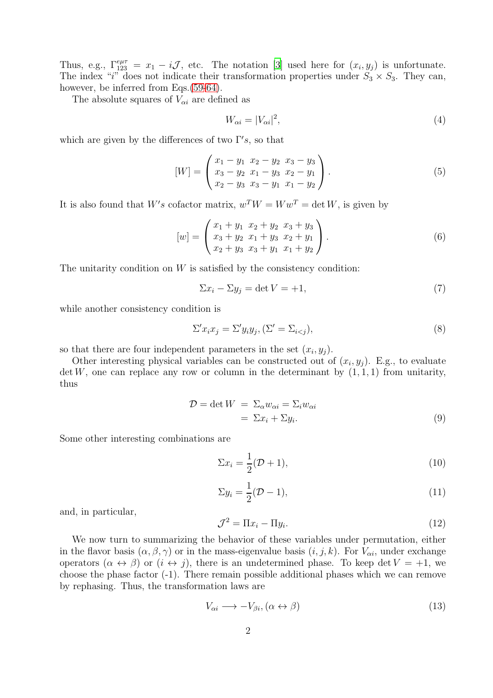Thus, e.g.,  $\Gamma_{123}^{e\mu\tau} = x_1 - i \mathcal{J}$ , etc. The notation [\[3](#page-11-2)] used here for  $(x_i, y_j)$  is unfortunate. The index "i" does not indicate their transformation properties under  $S_3 \times S_3$ . They can, however, be inferred from Eqs.[\(59](#page-7-0)[-64\)](#page-8-0).

The absolute squares of  $V_{\alpha i}$  are defined as

$$
W_{\alpha i} = |V_{\alpha i}|^2,\tag{4}
$$

which are given by the differences of two  $\Gamma's$ , so that

<span id="page-2-0"></span>
$$
[W] = \begin{pmatrix} x_1 - y_1 & x_2 - y_2 & x_3 - y_3 \\ x_3 - y_2 & x_1 - y_3 & x_2 - y_1 \\ x_2 - y_3 & x_3 - y_1 & x_1 - y_2 \end{pmatrix}.
$$
 (5)

It is also found that  $W's$  cofactor matrix,  $w^T W = W w^T = \det W$ , is given by

<span id="page-2-1"></span>
$$
[w] = \begin{pmatrix} x_1 + y_1 & x_2 + y_2 & x_3 + y_3 \\ x_3 + y_2 & x_1 + y_3 & x_2 + y_1 \\ x_2 + y_3 & x_3 + y_1 & x_1 + y_2 \end{pmatrix}.
$$
 (6)

The unitarity condition on  $W$  is satisfied by the consistency condition:

$$
\Sigma x_i - \Sigma y_j = \det V = +1,\tag{7}
$$

while another consistency condition is

$$
\Sigma' x_i x_j = \Sigma' y_i y_j, (\Sigma' = \Sigma_{i < j}),\tag{8}
$$

so that there are four independent parameters in the set  $(x_i, y_j)$ .

Other interesting physical variables can be constructed out of  $(x_i, y_j)$ . E.g., to evaluate  $\det W$ , one can replace any row or column in the determinant by  $(1, 1, 1)$  from unitarity, thus

<span id="page-2-2"></span>
$$
\mathcal{D} = \det W = \Sigma_{\alpha} w_{\alpha i} = \Sigma_{i} w_{\alpha i}
$$
  
=  $\Sigma x_{i} + \Sigma y_{i}.$  (9)

Some other interesting combinations are

$$
\Sigma x_i = \frac{1}{2}(\mathcal{D} + 1),\tag{10}
$$

$$
\Sigma y_i = \frac{1}{2}(\mathcal{D} - 1),\tag{11}
$$

and, in particular,

<span id="page-2-3"></span>
$$
\mathcal{J}^2 = \Pi x_i - \Pi y_i. \tag{12}
$$

We now turn to summarizing the behavior of these variables under permutation, either in the flavor basis  $(\alpha, \beta, \gamma)$  or in the mass-eigenvalue basis  $(i, j, k)$ . For  $V_{\alpha i}$ , under exchange operators  $(\alpha \leftrightarrow \beta)$  or  $(i \leftrightarrow j)$ , there is an undetermined phase. To keep det  $V = +1$ , we choose the phase factor (-1). There remain possible additional phases which we can remove by rephasing. Thus, the transformation laws are

$$
V_{\alpha i} \longrightarrow -V_{\beta i}, (\alpha \leftrightarrow \beta) \tag{13}
$$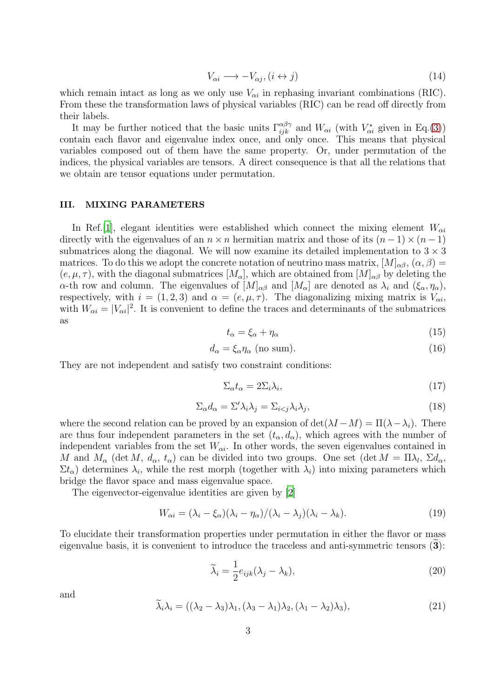$$
V_{\alpha i} \longrightarrow -V_{\alpha j}, (i \leftrightarrow j) \tag{14}
$$

which remain intact as long as we only use  $V_{\alpha i}$  in rephasing invariant combinations (RIC). From these the transformation laws of physical variables (RIC) can be read off directly from their labels.

It may be further noticed that the basic units  $\Gamma_{ijk}^{\alpha\beta\gamma}$  and  $W_{\alpha i}$  (with  $V_{\alpha i}^*$  given in Eq.[\(3\)](#page-1-0)) contain each flavor and eigenvalue index once, and only once. This means that physical variables composed out of them have the same property. Or, under permutation of the indices, the physical variables are tensors. A direct consequence is that all the relations that we obtain are tensor equations under permutation.

## III. MIXING PARAMETERS

In Ref. [\[1](#page-11-0)], elegant identities were established which connect the mixing element  $W_{\alpha i}$ directly with the eigenvalues of an  $n \times n$  hermitian matrix and those of its  $(n-1) \times (n-1)$ submatrices along the diagonal. We will now examine its detailed implementation to  $3 \times 3$ matrices. To do this we adopt the concrete notation of neutrino mass matrix,  $[M]_{\alpha\beta}$ ,  $(\alpha, \beta)$  =  $(e, \mu, \tau)$ , with the diagonal submatrices  $[M_{\alpha}]$ , which are obtained from  $[M]_{\alpha\beta}$  by deleting the  $\alpha$ -th row and column. The eigenvalues of  $[M]_{\alpha\beta}$  and  $[M_{\alpha}]$  are denoted as  $\lambda_i$  and  $(\xi_{\alpha}, \eta_{\alpha})$ , respectively, with  $i = (1, 2, 3)$  and  $\alpha = (e, \mu, \tau)$ . The diagonalizing mixing matrix is  $V_{\alpha i}$ , with  $W_{\alpha i} = |V_{\alpha i}|^2$ . It is convenient to define the traces and determinants of the submatrices as

<span id="page-3-1"></span>
$$
t_{\alpha} = \xi_{\alpha} + \eta_{\alpha} \tag{15}
$$

<span id="page-3-2"></span>
$$
d_{\alpha} = \xi_{\alpha} \eta_{\alpha} \text{ (no sum).} \tag{16}
$$

They are not independent and satisfy two constraint conditions:

<span id="page-3-3"></span>
$$
\Sigma_{\alpha} t_{\alpha} = 2\Sigma_i \lambda_i, \tag{17}
$$

<span id="page-3-4"></span>
$$
\Sigma_{\alpha} d_{\alpha} = \Sigma' \lambda_i \lambda_j = \Sigma_{i < j} \lambda_i \lambda_j,\tag{18}
$$

where the second relation can be proved by an expansion of  $\det(\lambda I - M) = \Pi(\lambda - \lambda_i)$ . There are thus four independent parameters in the set  $(t_{\alpha}, d_{\alpha})$ , which agrees with the number of independent variables from the set  $W_{\alpha i}$ . In other words, the seven eigenvalues contained in M and  $M_{\alpha}$  (det M,  $d_{\alpha}$ ,  $t_{\alpha}$ ) can be divided into two groups. One set (det  $M = \Pi \lambda_l$ ,  $\Sigma d_{\alpha}$ ,  $\Sigma t_{\alpha}$ ) determines  $\lambda_i$ , while the rest morph (together with  $\lambda_i$ ) into mixing parameters which bridge the flavor space and mass eigenvalue space.

The eigenvector-eigenvalue identities are given by [\[2\]](#page-11-1)

<span id="page-3-0"></span>
$$
W_{\alpha i} = (\lambda_i - \xi_{\alpha})(\lambda_i - \eta_{\alpha})/(\lambda_i - \lambda_j)(\lambda_i - \lambda_k).
$$
 (19)

To elucidate their transformation properties under permutation in either the flavor or mass eigenvalue basis, it is convenient to introduce the traceless and anti-symmetric tensors  $(3)$ :

$$
\widetilde{\lambda}_i = \frac{1}{2} e_{ijk} (\lambda_j - \lambda_k), \tag{20}
$$

and

$$
\widetilde{\lambda}_i \lambda_i = ((\lambda_2 - \lambda_3)\lambda_1, (\lambda_3 - \lambda_1)\lambda_2, (\lambda_1 - \lambda_2)\lambda_3), \tag{21}
$$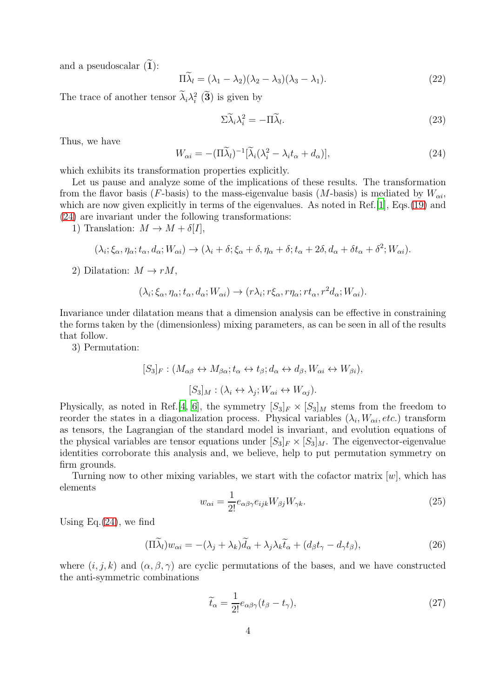and a pseudoscalar  $(1)$ :

$$
\Pi \widetilde{\lambda}_l = (\lambda_1 - \lambda_2)(\lambda_2 - \lambda_3)(\lambda_3 - \lambda_1). \tag{22}
$$

The trace of another tensor  $\lambda_i \lambda_i^2$  (3) is given by

$$
\Sigma \widetilde{\lambda}_i \lambda_i^2 = -\Pi \widetilde{\lambda}_l. \tag{23}
$$

Thus, we have

<span id="page-4-0"></span>
$$
W_{\alpha i} = -(\Pi \widetilde{\lambda}_l)^{-1} [\widetilde{\lambda}_i (\lambda_i^2 - \lambda_i t_\alpha + d_\alpha)], \tag{24}
$$

which exhibits its transformation properties explicitly.

Let us pause and analyze some of the implications of these results. The transformation from the flavor basis (F-basis) to the mass-eigenvalue basis (M-basis) is mediated by  $W_{\alpha i}$ , which are now given explicitly in terms of the eigenvalues. As noted in Ref. [\[1](#page-11-0)], Eqs. [\(19\)](#page-3-0) and [\(24\)](#page-4-0) are invariant under the following transformations:

1) Translation:  $M \to M + \delta[I],$ 

$$
(\lambda_i;\xi_\alpha,\eta_\alpha;t_\alpha,d_\alpha;W_{\alpha i})\to(\lambda_i+\delta;\xi_\alpha+\delta,\eta_\alpha+\delta;t_\alpha+2\delta,d_\alpha+\delta t_\alpha+\delta^2;W_{\alpha i}).
$$

2) Dilatation:  $M \to rM$ ,

$$
(\lambda_i; \xi_\alpha, \eta_\alpha; t_\alpha, d_\alpha; W_{\alpha i}) \to (r\lambda_i; r\xi_\alpha, r\eta_\alpha; r\tau_\alpha, r^2d_\alpha; W_{\alpha i}).
$$

Invariance under dilatation means that a dimension analysis can be effective in constraining the forms taken by the (dimensionless) mixing parameters, as can be seen in all of the results that follow.

3) Permutation:

$$
[S_3]_F : (M_{\alpha\beta} \leftrightarrow M_{\beta\alpha}; t_\alpha \leftrightarrow t_\beta; d_\alpha \leftrightarrow d_\beta, W_{\alpha i} \leftrightarrow W_{\beta i}),
$$
  

$$
[S_3]_M : (\lambda_i \leftrightarrow \lambda_j; W_{\alpha i} \leftrightarrow W_{\alpha j}).
$$

Physically, as noted in Ref. [\[4,](#page-11-3) [6\]](#page-11-5), the symmetry  $[S_3]_F \times [S_3]_M$  stems from the freedom to reorder the states in a diagonalization process. Physical variables  $(\lambda_i, W_{\alpha i}, etc.)$  transform as tensors, the Lagrangian of the standard model is invariant, and evolution equations of the physical variables are tensor equations under  $[S_3]_F \times [S_3]_M$ . The eigenvector-eigenvalue identities corroborate this analysis and, we believe, help to put permutation symmetry on firm grounds.

Turning now to other mixing variables, we start with the cofactor matrix  $[w]$ , which has elements

$$
w_{\alpha i} = \frac{1}{2!} e_{\alpha \beta \gamma} e_{ijk} W_{\beta j} W_{\gamma k}.
$$
\n(25)

Using Eq. $(24)$ , we find

$$
(\Pi \widetilde{\lambda}_l) w_{\alpha i} = -(\lambda_j + \lambda_k) \widetilde{d}_{\alpha} + \lambda_j \lambda_k \widetilde{t}_{\alpha} + (d_{\beta} t_{\gamma} - d_{\gamma} t_{\beta}), \tag{26}
$$

where  $(i, j, k)$  and  $(\alpha, \beta, \gamma)$  are cyclic permutations of the bases, and we have constructed the anti-symmetric combinations

$$
\widetilde{t}_{\alpha} = \frac{1}{2!} e_{\alpha\beta\gamma} (t_{\beta} - t_{\gamma}), \qquad (27)
$$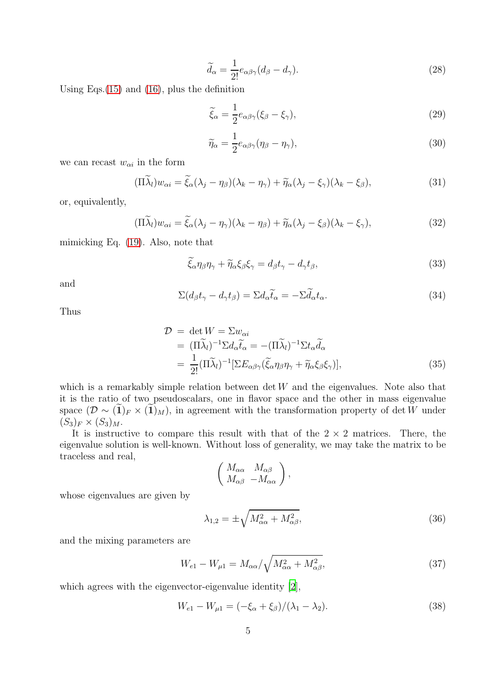$$
\widetilde{d}_{\alpha} = \frac{1}{2!} e_{\alpha\beta\gamma} (d_{\beta} - d_{\gamma}).
$$
\n(28)

Using Eqs.[\(15\)](#page-3-1) and [\(16\)](#page-3-2), plus the definition

$$
\widetilde{\xi}_{\alpha} = \frac{1}{2} e_{\alpha\beta\gamma} (\xi_{\beta} - \xi_{\gamma}), \tag{29}
$$

$$
\widetilde{\eta}_{\alpha} = \frac{1}{2} e_{\alpha\beta\gamma} (\eta_{\beta} - \eta_{\gamma}), \tag{30}
$$

we can recast  $w_{\alpha i}$  in the form

$$
(\Pi \widetilde{\lambda}_l) w_{\alpha i} = \widetilde{\xi}_{\alpha} (\lambda_j - \eta_{\beta}) (\lambda_k - \eta_{\gamma}) + \widetilde{\eta}_{\alpha} (\lambda_j - \xi_{\gamma}) (\lambda_k - \xi_{\beta}), \tag{31}
$$

or, equivalently,

$$
(\Pi \widetilde{\lambda}_l) w_{\alpha i} = \widetilde{\xi}_{\alpha} (\lambda_j - \eta_\gamma) (\lambda_k - \eta_\beta) + \widetilde{\eta}_{\alpha} (\lambda_j - \xi_\beta) (\lambda_k - \xi_\gamma), \tag{32}
$$

mimicking Eq. [\(19\)](#page-3-0). Also, note that

$$
\tilde{\xi}_{\alpha}\eta_{\beta}\eta_{\gamma} + \tilde{\eta}_{\alpha}\xi_{\beta}\xi_{\gamma} = d_{\beta}t_{\gamma} - d_{\gamma}t_{\beta},\tag{33}
$$

and

$$
\Sigma(d_{\beta}t_{\gamma}-d_{\gamma}t_{\beta})=\Sigma d_{\alpha}\widetilde{t}_{\alpha}=-\Sigma\widetilde{d}_{\alpha}t_{\alpha}.
$$
\n(34)

Thus

<span id="page-5-0"></span>
$$
\mathcal{D} = \det W = \Sigma w_{\alpha i} \n= (\Pi \widetilde{\lambda}_l)^{-1} \Sigma d_{\alpha} \widetilde{t}_{\alpha} = -(\Pi \widetilde{\lambda}_l)^{-1} \Sigma t_{\alpha} \widetilde{d}_{\alpha} \n= \frac{1}{2!} (\Pi \widetilde{\lambda}_l)^{-1} [\Sigma E_{\alpha \beta \gamma} (\widetilde{\xi}_{\alpha} \eta_{\beta} \eta_{\gamma} + \widetilde{\eta}_{\alpha} \xi_{\beta} \xi_{\gamma})],
$$
\n(35)

which is a remarkably simple relation between  $\det W$  and the eigenvalues. Note also that it is the ratio of two pseudoscalars, one in flavor space and the other in mass eigenvalue space  $(\mathcal{D} \sim (1)_F \times (1)_M)$ , in agreement with the transformation property of det W under  $(S_3)_F \times (S_3)_M$ .

It is instructive to compare this result with that of the  $2 \times 2$  matrices. There, the eigenvalue solution is well-known. Without loss of generality, we may take the matrix to be traceless and real,

$$
\left(\begin{array}{cc} M_{\alpha\alpha} & M_{\alpha\beta} \\ M_{\alpha\beta} & -M_{\alpha\alpha} \end{array}\right),
$$

whose eigenvalues are given by

$$
\lambda_{1,2} = \pm \sqrt{M_{\alpha\alpha}^2 + M_{\alpha\beta}^2},\tag{36}
$$

and the mixing parameters are

$$
W_{e1} - W_{\mu 1} = M_{\alpha\alpha} / \sqrt{M_{\alpha\alpha}^2 + M_{\alpha\beta}^2},\tag{37}
$$

which agrees with the eigenvector-eigenvalue identity [\[2\]](#page-11-1),

$$
W_{e1} - W_{\mu 1} = (-\xi_{\alpha} + \xi_{\beta})/(\lambda_1 - \lambda_2).
$$
 (38)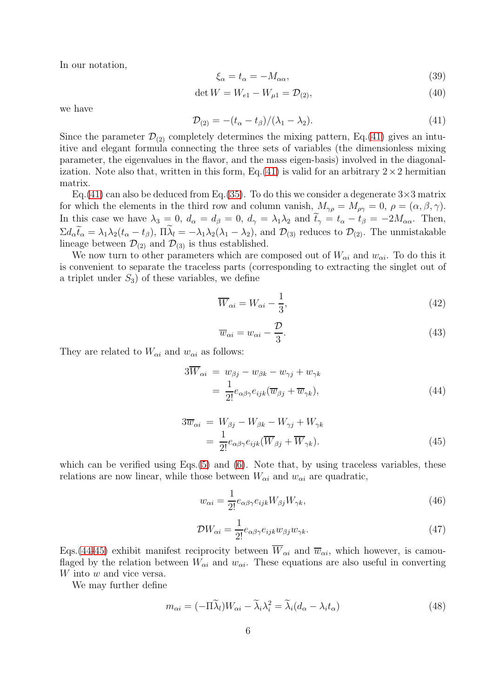In our notation,

$$
\xi_{\alpha} = t_{\alpha} = -M_{\alpha\alpha},\tag{39}
$$

$$
\det W = W_{e1} - W_{\mu 1} = \mathcal{D}_{(2)},\tag{40}
$$

we have

<span id="page-6-0"></span>
$$
\mathcal{D}_{(2)} = -(t_{\alpha} - t_{\beta})/(\lambda_1 - \lambda_2). \tag{41}
$$

Since the parameter  $\mathcal{D}_{(2)}$  completely determines the mixing pattern, Eq.[\(41\)](#page-6-0) gives an intuitive and elegant formula connecting the three sets of variables (the dimensionless mixing parameter, the eigenvalues in the flavor, and the mass eigen-basis) involved in the diagonal-ization. Note also that, written in this form, Eq. [\(41\)](#page-6-0) is valid for an arbitrary  $2 \times 2$  hermitian matrix.

Eq.[\(41\)](#page-6-0) can also be deduced from Eq.[\(35\)](#page-5-0). To do this we consider a degenerate  $3\times3$  matrix for which the elements in the third row and column vanish,  $M_{\gamma\rho} = M_{\rho\gamma} = 0$ ,  $\rho = (\alpha, \beta, \gamma)$ . In this case we have  $\lambda_3 = 0$ ,  $d_\alpha = d_\beta = 0$ ,  $d_\gamma = \lambda_1 \lambda_2$  and  $\tilde{t}_\gamma = t_\alpha - t_\beta = -2M_{\alpha\alpha}$ . Then,  $\Sigma d_{\alpha} t_{\alpha} = \lambda_1 \lambda_2 (t_{\alpha} - t_{\beta}), \Pi \lambda_l = -\lambda_1 \lambda_2 (\lambda_1 - \lambda_2), \text{ and } \mathcal{D}_{(3)}$  reduces to  $\mathcal{D}_{(2)}$ . The unmistakable lineage between  $\mathcal{D}_{(2)}$  and  $\mathcal{D}_{(3)}$  is thus established.

We now turn to other parameters which are composed out of  $W_{\alpha i}$  and  $w_{\alpha i}$ . To do this it is convenient to separate the traceless parts (corresponding to extracting the singlet out of a triplet under  $S_3$ ) of these variables, we define

$$
\overline{W}_{\alpha i} = W_{\alpha i} - \frac{1}{3},\tag{42}
$$

$$
\overline{w}_{\alpha i} = w_{\alpha i} - \frac{\mathcal{D}}{3}.
$$
\n(43)

They are related to  $W_{\alpha i}$  and  $w_{\alpha i}$  as follows:

<span id="page-6-1"></span>
$$
3W_{\alpha i} = w_{\beta j} - w_{\beta k} - w_{\gamma j} + w_{\gamma k}
$$
  
= 
$$
\frac{1}{2!}e_{\alpha\beta\gamma}e_{ijk}(\overline{w}_{\beta j} + \overline{w}_{\gamma k}),
$$
 (44)

<span id="page-6-2"></span>
$$
3\overline{w}_{\alpha i} = W_{\beta j} - W_{\beta k} - W_{\gamma j} + W_{\gamma k}
$$
  
= 
$$
\frac{1}{2!}e_{\alpha\beta\gamma}e_{ijk}(\overline{W}_{\beta j} + \overline{W}_{\gamma k}).
$$
 (45)

which can be verified using Eqs.[\(5\)](#page-2-0) and [\(6\)](#page-2-1). Note that, by using traceless variables, these relations are now linear, while those between  $W_{\alpha i}$  and  $w_{\alpha i}$  are quadratic,

$$
w_{\alpha i} = \frac{1}{2!} e_{\alpha \beta \gamma} e_{ijk} W_{\beta j} W_{\gamma k},\tag{46}
$$

$$
\mathcal{D}W_{\alpha i} = \frac{1}{2!} e_{\alpha\beta\gamma} e_{ijk} w_{\beta j} w_{\gamma k}.
$$
\n(47)

Eqs.[\(44](#page-6-1)[-45\)](#page-6-2) exhibit manifest reciprocity between  $\overline{W}_{\alpha i}$  and  $\overline{w}_{\alpha i}$ , which however, is camouflaged by the relation between  $W_{\alpha i}$  and  $w_{\alpha i}$ . These equations are also useful in converting W into w and vice versa.

We may further define

$$
m_{\alpha i} = (-\Pi \widetilde{\lambda}_l) W_{\alpha i} - \widetilde{\lambda}_i \lambda_i^2 = \widetilde{\lambda}_i (d_\alpha - \lambda_i t_\alpha)
$$
\n(48)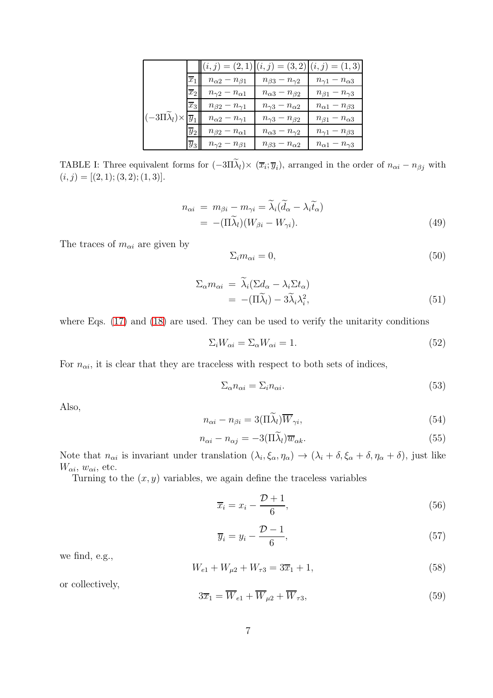|                                                       |                  | $ (i,j) = (2,1) (i,j) = (3,2) (i,j) = (1,3) $ |                               |                               |
|-------------------------------------------------------|------------------|-----------------------------------------------|-------------------------------|-------------------------------|
|                                                       | $\overline{x}_1$ | $n_{\alpha 2} - n_{\beta 1}$                  | $n_{\beta 3}-n_{\gamma 2}$    | $n_{\gamma 1} - n_{\alpha 3}$ |
|                                                       | $\overline{x}_2$ | $n_{\gamma 2} - n_{\alpha 1}$                 | $n_{\alpha 3} - n_{\beta 2}$  | $n_{\beta 1} - n_{\gamma 3}$  |
|                                                       | $\overline{x}_3$ | $n_{\beta 2} - n_{\gamma 1}$                  | $n_{\gamma 3} - n_{\alpha 2}$ | $n_{\alpha 1} - n_{\beta 3}$  |
| $(-3\Pi\lambda_l)\times\vert\overline{y}_1\vert\vert$ |                  | $n_{\alpha 2} - n_{\gamma 1}$                 | $n_{\gamma 3}-n_{\beta 2}$    | $n_{\beta 1} - n_{\alpha 3}$  |
|                                                       | $\overline{y}_2$ | $n_{\beta 2} - n_{\alpha 1}$                  | $n_{\alpha 3}-n_{\gamma 2}$   | $n_{\gamma 1} - n_{\beta 3}$  |
|                                                       | $\overline{y}_3$ | $n_{\gamma 2} - n_{\beta 1}$                  | $n_{\beta 3}-n_{\alpha 2}$    | $n_{\alpha 1} - n_{\gamma 3}$ |

TABLE I: Three equivalent forms for  $(-3\Pi\lambda_l)\times (\overline{x}_i;\overline{y}_i)$ , arranged in the order of  $n_{\alpha i} - n_{\beta j}$  with  $(i, j) = [(2, 1); (3, 2); (1, 3)].$ 

<span id="page-7-2"></span>
$$
n_{\alpha i} = m_{\beta i} - m_{\gamma i} = \tilde{\lambda}_i (\tilde{d}_{\alpha} - \lambda_i \tilde{t}_{\alpha})
$$
  
= -(\Pi \tilde{\lambda}\_i)(W\_{\beta i} - W\_{\gamma i}). (49)

The traces of  $m_{\alpha i}$  are given by

$$
\Sigma_i m_{\alpha i} = 0,\t\t(50)
$$

$$
\Sigma_{\alpha} m_{\alpha i} = \widetilde{\lambda}_i (\Sigma d_{\alpha} - \lambda_i \Sigma t_{\alpha})
$$
  
= -(\Pi \widetilde{\lambda}\_l) - 3\widetilde{\lambda}\_i \lambda\_i^2, (51)

where Eqs.  $(17)$  and  $(18)$  are used. They can be used to verify the unitarity conditions

$$
\Sigma_i W_{\alpha i} = \Sigma_\alpha W_{\alpha i} = 1. \tag{52}
$$

For  $n_{\alpha i}$ , it is clear that they are traceless with respect to both sets of indices,

$$
\Sigma_{\alpha} n_{\alpha i} = \Sigma_i n_{\alpha i}.\tag{53}
$$

Also,

<span id="page-7-1"></span>
$$
n_{\alpha i} - n_{\beta i} = 3(\Pi \widetilde{\lambda}_l) \overline{W}_{\gamma i},\tag{54}
$$

$$
n_{\alpha i} - n_{\alpha j} = -3(\Pi \widetilde{\lambda}_l) \overline{w}_{\alpha k}.
$$
\n(55)

Note that  $n_{\alpha i}$  is invariant under translation  $(\lambda_i, \xi_\alpha, \eta_\alpha) \to (\lambda_i + \delta, \xi_\alpha + \delta, \eta_\alpha + \delta)$ , just like  $W_{\alpha i}$ ,  $w_{\alpha i}$ , etc.

Turning to the  $(x, y)$  variables, we again define the traceless variables

$$
\overline{x}_i = x_i - \frac{\mathcal{D} + 1}{6},\tag{56}
$$

$$
\overline{y}_i = y_i - \frac{\mathcal{D} - 1}{6},\tag{57}
$$

we find, e.g.,

$$
W_{e1} + W_{\mu 2} + W_{\tau 3} = 3\overline{x}_1 + 1,\tag{58}
$$

or collectively,

<span id="page-7-0"></span>
$$
3\overline{x}_1 = \overline{W}_{e1} + \overline{W}_{\mu 2} + \overline{W}_{\tau 3},\tag{59}
$$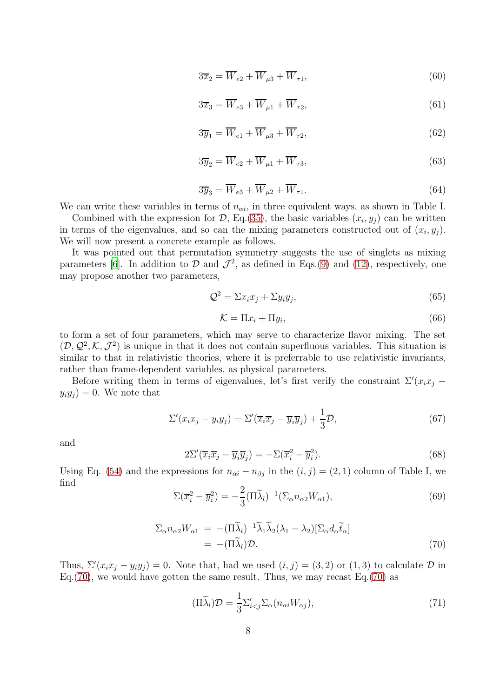$$
3\overline{x}_2 = \overline{W}_{e2} + \overline{W}_{\mu 3} + \overline{W}_{\tau 1},\tag{60}
$$

$$
3\overline{x}_3 = \overline{W}_{e3} + \overline{W}_{\mu 1} + \overline{W}_{\tau 2},\tag{61}
$$

$$
3\overline{y}_1 = \overline{W}_{e1} + \overline{W}_{\mu 3} + \overline{W}_{\tau 2},\tag{62}
$$

$$
3\overline{y}_2 = \overline{W}_{e2} + \overline{W}_{\mu 1} + \overline{W}_{\tau 3},\tag{63}
$$

<span id="page-8-0"></span>
$$
3\overline{y}_3 = \overline{W}_{e3} + \overline{W}_{\mu 2} + \overline{W}_{\tau 1}.
$$
\n(64)

We can write these variables in terms of  $n_{\alpha i}$ , in three equivalent ways, as shown in Table I.

Combined with the expression for  $D$ , Eq.[\(35\)](#page-5-0), the basic variables  $(x_i, y_j)$  can be written in terms of the eigenvalues, and so can the mixing parameters constructed out of  $(x_i, y_j)$ . We will now present a concrete example as follows.

It was pointed out that permutation symmetry suggests the use of singlets as mixing parameters [\[6](#page-11-5)]. In addition to  $\mathcal D$  and  $\mathcal J^2$ , as defined in Eqs.[\(9\)](#page-2-2) and [\(12\)](#page-2-3), respectively, one may propose another two parameters,

$$
\mathcal{Q}^2 = \Sigma x_i x_j + \Sigma y_i y_j,\tag{65}
$$

$$
\mathcal{K} = \Pi x_i + \Pi y_i,\tag{66}
$$

to form a set of four parameters, which may serve to characterize flavor mixing. The set  $(D, Q^2, K, \mathcal{J}^2)$  is unique in that it does not contain superfluous variables. This situation is similar to that in relativistic theories, where it is preferrable to use relativistic invariants, rather than frame-dependent variables, as physical parameters.

Before writing them in terms of eigenvalues, let's first verify the constraint  $\Sigma'(x_ix_j - \Sigma'')$  $y_i y_j = 0$ . We note that

$$
\Sigma'(x_i x_j - y_i y_j) = \Sigma'(\overline{x}_i \overline{x}_j - \overline{y}_i \overline{y}_j) + \frac{1}{3} \mathcal{D},\tag{67}
$$

and

$$
2\Sigma'(\overline{x}_i\overline{x}_j - \overline{y}_i\overline{y}_j) = -\Sigma(\overline{x}_i^2 - \overline{y}_i^2). \tag{68}
$$

Using Eq. [\(54\)](#page-7-1) and the expressions for  $n_{\alpha i} - n_{\beta j}$  in the  $(i, j) = (2, 1)$  column of Table I, we find

$$
\Sigma(\overline{x}_i^2 - \overline{y}_i^2) = -\frac{2}{3} (\Pi \widetilde{\lambda}_l)^{-1} (\Sigma_\alpha n_{\alpha 2} W_{\alpha 1}), \tag{69}
$$

<span id="page-8-1"></span>
$$
\Sigma_{\alpha} n_{\alpha 2} W_{\alpha 1} = -(\Pi \widetilde{\lambda}_l)^{-1} \widetilde{\lambda}_1 \widetilde{\lambda}_2 (\lambda_1 - \lambda_2) [\Sigma_{\alpha} d_{\alpha} \widetilde{t}_{\alpha}]
$$
  
= -(\Pi \widetilde{\lambda}\_l) \mathcal{D}. (70)

Thus,  $\Sigma'(x_ix_j - y_iy_j) = 0$ . Note that, had we used  $(i, j) = (3, 2)$  or  $(1, 3)$  to calculate  $\mathcal D$  in Eq.[\(70\)](#page-8-1), we would have gotten the same result. Thus, we may recast Eq.[\(70\)](#page-8-1) as

<span id="page-8-2"></span>
$$
(\Pi \widetilde{\lambda}_l) \mathcal{D} = \frac{1}{3} \Sigma'_{i < j} \Sigma_\alpha (n_{\alpha i} W_{\alpha j}),\tag{71}
$$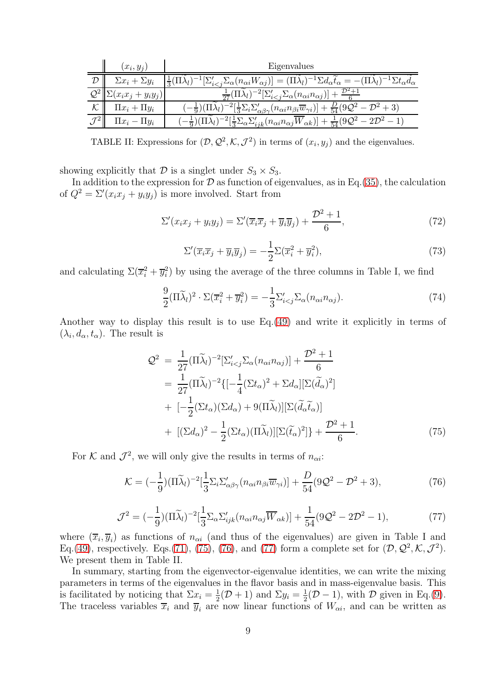|          | $(x_i, y_i)$              | Eigenvalues                                                                                                                                                                                                    |
|----------|---------------------------|----------------------------------------------------------------------------------------------------------------------------------------------------------------------------------------------------------------|
|          | $\Sigma x_i + \Sigma y_i$ | $)^{-1}[\Sigma'_{i\frac{1}{3}(\Pi\lambda_l)$                                                                                                                                                                   |
|          | $(x_ix_j + y_iy_j)$       | $\frac{1}{27}(\Pi\lambda_l)^{-2}[\Sigma'_{i$                                                                                                                                                                   |
| $\cal K$ | $\Pi x_i + \Pi y_i$       | $\left(-\frac{1}{9}\right)(\Pi\tilde{\lambda}_l)^{-2}\left[\frac{1}{3}\Sigma_i\Sigma'_{\alpha\beta\gamma}(n_{\alpha i}n_{\beta i}\overline{w}_{\gamma i})\right]+\frac{D}{54}(9\mathcal{Q}^2-\mathcal{D}^2+3)$ |
|          | $\prod x_i - \prod y_i$   | $(-\frac{1}{9})(\Pi\lambda_l)^{-2}[\frac{1}{3}\Sigma_\alpha \Sigma_{ijk}'(n_{\alpha i}n_{\alpha j}\overline{W}_{\alpha k})]+\frac{1}{54}(9\mathcal{Q}^2-2\mathcal{D}^2-1)$                                     |

TABLE II: Expressions for  $(D, \mathcal{Q}^2, \mathcal{K}, \mathcal{J}^2)$  in terms of  $(x_i, y_j)$  and the eigenvalues.

showing explicitly that  $\mathcal D$  is a singlet under  $S_3 \times S_3$ .

In addition to the expression for  $D$  as function of eigenvalues, as in Eq.[\(35\)](#page-5-0), the calculation of  $Q^2 = \Sigma'(x_i x_j + y_i y_j)$  is more involved. Start from

$$
\Sigma'(x_i x_j + y_i y_j) = \Sigma'(\overline{x}_i \overline{x}_j + \overline{y}_i \overline{y}_j) + \frac{\mathcal{D}^2 + 1}{6},\tag{72}
$$

$$
\Sigma'(\overline{x}_i\overline{x}_j + \overline{y}_i\overline{y}_j) = -\frac{1}{2}\Sigma(\overline{x}_i^2 + \overline{y}_i^2),\tag{73}
$$

and calculating  $\Sigma(\overline{x_i^2} + \overline{y_i^2})$  by using the average of the three columns in Table I, we find

$$
\frac{9}{2}(\Pi \widetilde{\lambda}_l)^2 \cdot \Sigma (\overline{x}_i^2 + \overline{y}_i^2) = -\frac{1}{3} \Sigma'_{i < j} \Sigma_\alpha (n_{\alpha i} n_{\alpha j}).\tag{74}
$$

Another way to display this result is to use Eq.[\(49\)](#page-7-2) and write it explicitly in terms of  $(\lambda_i, d_\alpha, t_\alpha)$ . The result is

<span id="page-9-0"></span>
$$
\mathcal{Q}^2 = \frac{1}{27} (\Pi \widetilde{\lambda}_l)^{-2} \left[ \Sigma'_{i < j} \Sigma_\alpha (n_{\alpha i} n_{\alpha j}) \right] + \frac{\mathcal{D}^2 + 1}{6} \n= \frac{1}{27} (\Pi \widetilde{\lambda}_l)^{-2} \left\{ \left[ -\frac{1}{4} (\Sigma t_\alpha)^2 + \Sigma d_\alpha \right] \left[ \Sigma (\widetilde{\tilde{d}}_\alpha)^2 \right] \right. \n+ \left. \left[ -\frac{1}{2} (\Sigma t_\alpha) (\Sigma d_\alpha) + 9 (\Pi \widetilde{\lambda}_l) \right] \left[ \Sigma (\widetilde{\tilde{d}}_\alpha \widetilde{t}_\alpha) \right] \n+ \left. \left[ (\Sigma d_\alpha)^2 - \frac{1}{2} (\Sigma t_\alpha) (\Pi \widetilde{\lambda}_l) \right] \left[ \Sigma (\widetilde{t}_\alpha)^2 \right] \right\} + \frac{\mathcal{D}^2 + 1}{6}.
$$
\n(75)

For K and  $\mathcal{J}^2$ , we will only give the results in terms of  $n_{\alpha i}$ :

<span id="page-9-1"></span>
$$
\mathcal{K} = (-\frac{1}{9}) (\Pi \widetilde{\lambda}_l)^{-2} [\frac{1}{3} \Sigma_i \Sigma_{\alpha\beta\gamma}^{\prime} (n_{\alpha i} n_{\beta i} \overline{w}_{\gamma i})] + \frac{D}{54} (9 \mathcal{Q}^2 - \mathcal{D}^2 + 3), \tag{76}
$$

<span id="page-9-2"></span>
$$
\mathcal{J}^2 = (-\frac{1}{9}) (\Pi \widetilde{\lambda}_l)^{-2} [\frac{1}{3} \Sigma_\alpha \Sigma'_{ijk} (n_{\alpha i} n_{\alpha j} \overline{W}_{\alpha k})] + \frac{1}{54} (9 \mathcal{Q}^2 - 2 \mathcal{D}^2 - 1), \tag{77}
$$

where  $(\overline{x}_i, \overline{y}_i)$  as functions of  $n_{\alpha i}$  (and thus of the eigenvalues) are given in Table I and Eq.[\(49\)](#page-7-2), respectively. Eqs.[\(71\)](#page-8-2), [\(75\)](#page-9-0), [\(76\)](#page-9-1), and [\(77\)](#page-9-2) form a complete set for  $(D, \mathcal{Q}^2, \mathcal{K}, \mathcal{J}^2)$ . We present them in Table II.

In summary, starting from the eigenvector-eigenvalue identities, we can write the mixing parameters in terms of the eigenvalues in the flavor basis and in mass-eigenvalue basis. This is facilitated by noticing that  $\Sigma x_i = \frac{1}{2}$  $\frac{1}{2}(\mathcal{D}+1)$  and  $\Sigma y_i = \frac{1}{2}$  $\frac{1}{2}(\mathcal{D}-1)$ , with  $\mathcal D$  given in Eq.[\(9\)](#page-2-2). The traceless variables  $\overline{x}_i$  and  $\overline{y}_i$  are now linear functions of  $W_{\alpha i}$ , and can be written as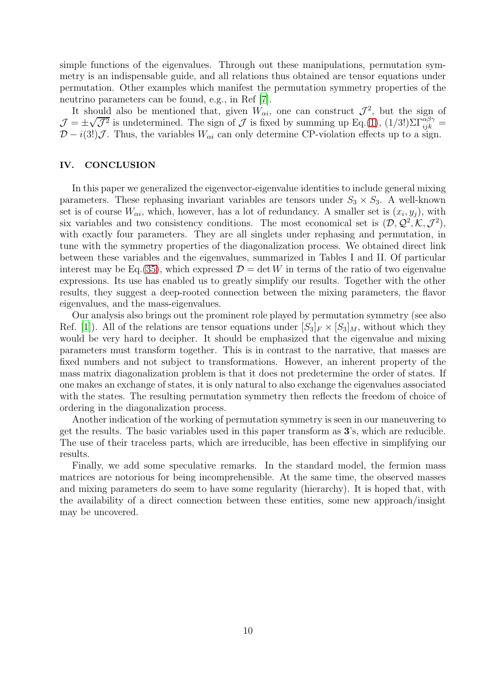simple functions of the eigenvalues. Through out these manipulations, permutation symmetry is an indispensable guide, and all relations thus obtained are tensor equations under permutation. Other examples which manifest the permutation symmetry properties of the neutrino parameters can be found, e.g., in Ref [\[7\]](#page-11-6).

It should also be mentioned that, given  $W_{\alpha i}$ , one can construct  $\mathcal{J}^2$ , but the sign of  $\mathcal{J} = \pm \sqrt{\mathcal{J}^2}$  is undetermined. The sign of  $\mathcal{J}$  is fixed by summing up Eq.[\(1\)](#page-1-1),  $(1/3!) \Sigma \Gamma_{ijk}^{\alpha\beta\gamma} =$  $\mathcal{D} - i(3!)\mathcal{J}$ . Thus, the variables  $W_{\alpha i}$  can only determine CP-violation effects up to a sign.

#### IV. CONCLUSION

In this paper we generalized the eigenvector-eigenvalue identities to include general mixing parameters. These rephasing invariant variables are tensors under  $S_3 \times S_3$ . A well-known set is of course  $W_{\alpha i}$ , which, however, has a lot of redundancy. A smaller set is  $(x_i, y_j)$ , with six variables and two consistency conditions. The most economical set is  $(D, \mathcal{Q}^2, \mathcal{K}, \mathcal{J}^2)$ , with exactly four parameters. They are all singlets under rephasing and permutation, in tune with the symmetry properties of the diagonalization process. We obtained direct link between these variables and the eigenvalues, summarized in Tables I and II. Of particular interest may be Eq.[\(35\)](#page-5-0), which expressed  $\mathcal{D} = \det W$  in terms of the ratio of two eigenvalue expressions. Its use has enabled us to greatly simplify our results. Together with the other results, they suggest a deep-rooted connection between the mixing parameters, the flavor eigenvalues, and the mass-eigenvalues.

Our analysis also brings out the prominent role played by permutation symmetry (see also Ref. [\[1\]](#page-11-0)). All of the relations are tensor equations under  $[S_3]_F \times [S_3]_M$ , without which they would be very hard to decipher. It should be emphasized that the eigenvalue and mixing parameters must transform together. This is in contrast to the narrative, that masses are fixed numbers and not subject to transformations. However, an inherent property of the mass matrix diagonalization problem is that it does not predetermine the order of states. If one makes an exchange of states, it is only natural to also exchange the eigenvalues associated with the states. The resulting permutation symmetry then reflects the freedom of choice of ordering in the diagonalization process.

Another indication of the working of permutation symmetry is seen in our maneuvering to get the results. The basic variables used in this paper transform as 3's, which are reducible. The use of their traceless parts, which are irreducible, has been effective in simplifying our results.

Finally, we add some speculative remarks. In the standard model, the fermion mass matrices are notorious for being incomprehensible. At the same time, the observed masses and mixing parameters do seem to have some regularity (hierarchy). It is hoped that, with the availability of a direct connection between these entities, some new approach/insight may be uncovered.